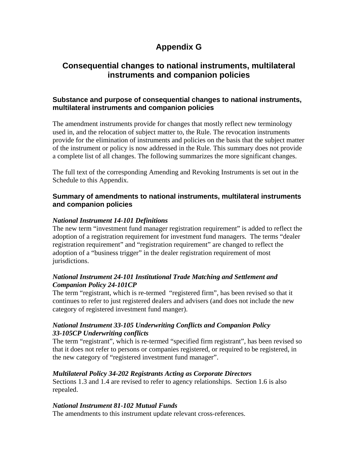# **Appendix G**

# **Consequential changes to national instruments, multilateral instruments and companion policies**

## **Substance and purpose of consequential changes to national instruments, multilateral instruments and companion policies**

The amendment instruments provide for changes that mostly reflect new terminology used in, and the relocation of subject matter to, the Rule. The revocation instruments provide for the elimination of instruments and policies on the basis that the subject matter of the instrument or policy is now addressed in the Rule. This summary does not provide a complete list of all changes. The following summarizes the more significant changes.

The full text of the corresponding Amending and Revoking Instruments is set out in the Schedule to this Appendix.

## **Summary of amendments to national instruments, multilateral instruments and companion policies**

## *National Instrument 14-101 Definitions*

The new term "investment fund manager registration requirement" is added to reflect the adoption of a registration requirement for investment fund managers. The terms "dealer registration requirement" and "registration requirement" are changed to reflect the adoption of a "business trigger" in the dealer registration requirement of most jurisdictions.

## *National Instrument 24-101 Institutional Trade Matching and Settlement and Companion Policy 24-101CP*

The term "registrant, which is re-termed "registered firm", has been revised so that it continues to refer to just registered dealers and advisers (and does not include the new category of registered investment fund manger).

## *National Instrument 33-105 Underwriting Conflicts and Companion Policy 33-105CP Underwriting conflicts*

The term "registrant", which is re-termed "specified firm registrant", has been revised so that it does not refer to persons or companies registered, or required to be registered, in the new category of "registered investment fund manager".

## *Multilateral Policy 34-202 Registrants Acting as Corporate Directors*

Sections 1.3 and 1.4 are revised to refer to agency relationships. Section 1.6 is also repealed.

## *National Instrument 81-102 Mutual Funds*

The amendments to this instrument update relevant cross-references.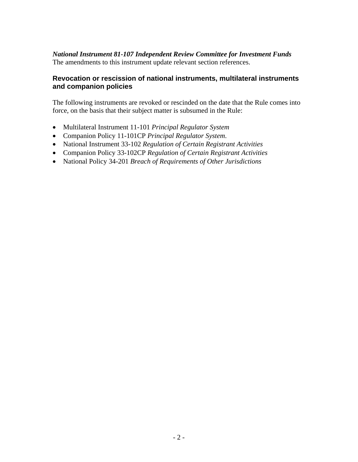## *National Instrument 81-107 Independent Review Committee for Investment Funds*  The amendments to this instrument update relevant section references.

# **Revocation or rescission of national instruments, multilateral instruments and companion policies**

The following instruments are revoked or rescinded on the date that the Rule comes into force, on the basis that their subject matter is subsumed in the Rule:

- Multilateral Instrument 11-101 *Principal Regulator System*
- Companion Policy 11-101CP *Principal Regulator System*.
- National Instrument 33-102 *Regulation of Certain Registrant Activities*
- Companion Policy 33-102CP *Regulation of Certain Registrant Activities*
- National Policy 34-201 *Breach of Requirements of Other Jurisdictions*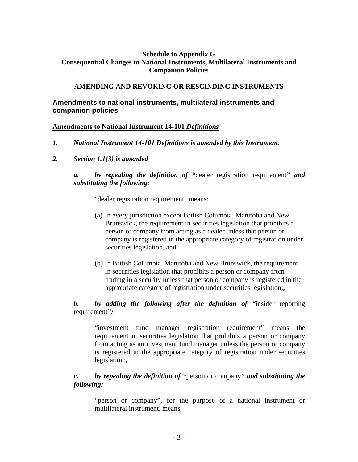## **Schedule to Appendix G Consequential Changes to National Instruments, Multilateral Instruments and Companion Policies**

### **AMENDING AND REVOKING OR RESCINDING INSTRUMENTS**

## **Amendments to national instruments, multilateral instruments and companion policies**

#### **Amendments to National Instrument 14-101** *Definitions*

- *1. National Instrument 14-101 Definitions is amended by this Instrument.*
- *2. Section 1.1(3) is amended*

## *a. by repealing the definition of "*dealer registration requirement*" and substituting the following:*

"dealer registration requirement" means:

- (a) in every jurisdiction except British Columbia, Manitoba and New Brunswick, the requirement in securities legislation that prohibits a person or company from acting as a dealer unless that person or company is registered in the appropriate category of registration under securities legislation, and
- (b) in British Columbia, Manitoba and New Brunswick, the requirement in securities legislation that prohibits a person or company from trading in a security unless that person or company is registered in the appropriate category of registration under securities legislation;**,**

## *b. by adding the following after the definition of "*insider reporting requirement*":*

"investment fund manager registration requirement" means the requirement in securities legislation that prohibits a person or company from acting as an investment fund manager unless the person or company is registered in the appropriate category of registration under securities legislation;*,* 

## *c. by repealing the definition of "*person or company*" and substituting the following:*

"person or company", for the purpose of a national instrument or multilateral instrument, means,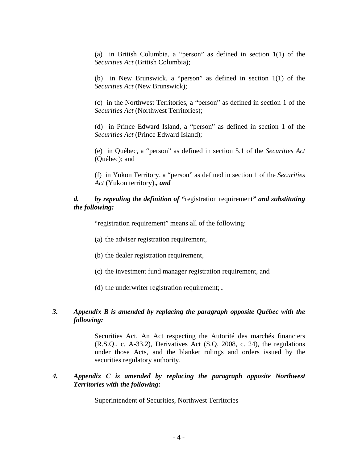(a) in British Columbia, a "person" as defined in section 1(1) of the *Securities Act* (British Columbia);

(b) in New Brunswick, a "person" as defined in section 1(1) of the *Securities Act* (New Brunswick);

(c) in the Northwest Territories, a "person" as defined in section 1 of the *Securities Act* (Northwest Territories);

(d) in Prince Edward Island, a "person" as defined in section 1 of the *Securities Act* (Prince Edward Island);

(e) in Québec, a "person" as defined in section 5.1 of the *Securities Act* (Québec); and

(f) in Yukon Territory, a "person" as defined in section 1 of the *Securities Act* (Yukon territory).*, and* 

## *d. by repealing the definition of "*registration requirement*" and substituting the following:*

"registration requirement" means all of the following:

- (a) the adviser registration requirement,
- (b) the dealer registration requirement,
- (c) the investment fund manager registration requirement, and
- (d) the underwriter registration requirement; *.*

## *3. Appendix B is amended by replacing the paragraph opposite Québec with the following:*

Securities Act, An Act respecting the Autorité des marchés financiers (R.S.Q., c. A-33.2), Derivatives Act (S.Q. 2008, c. 24), the regulations under those Acts, and the blanket rulings and orders issued by the securities regulatory authority.

#### *4. Appendix C is amended by replacing the paragraph opposite Northwest Territories with the following:*

**Superintendent of Securities, Northwest Territories**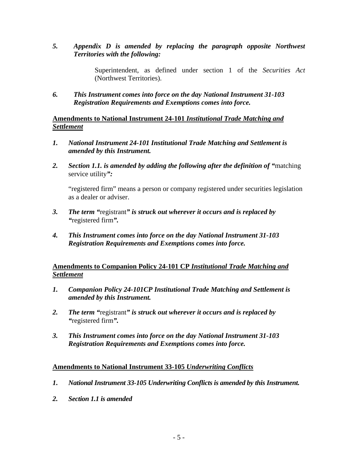*5. Appendix D is amended by replacing the paragraph opposite Northwest Territories with the following:* 

> Superintendent, as defined under section 1 of the *Securities Act* (Northwest Territories).

*6. This Instrument comes into force on the day National Instrument 31-103 Registration Requirements and Exemptions comes into force.* 

**Amendments to National Instrument 24-101** *Institutional Trade Matching and Settlement*

- *1. National Instrument 24-101 Institutional Trade Matching and Settlement is amended by this Instrument.*
- *2. Section 1.1. is amended by adding the following after the definition of "*matching service utility*":*

"registered firm" means a person or company registered under securities legislation as a dealer or adviser.

- *3. The term "*registrant*" is struck out wherever it occurs and is replaced by "*registered firm*".*
- *4. This Instrument comes into force on the day National Instrument 31-103 Registration Requirements and Exemptions comes into force.*

## **Amendments to Companion Policy 24-101 CP** *Institutional Trade Matching and Settlement*

- *1. Companion Policy 24-101CP Institutional Trade Matching and Settlement is amended by this Instrument.*
- *2. The term "*registrant*" is struck out wherever it occurs and is replaced by "*registered firm*".*
- *3. This Instrument comes into force on the day National Instrument 31-103 Registration Requirements and Exemptions comes into force.*

## **Amendments to National Instrument 33-105** *Underwriting Conflicts*

- *1. National Instrument 33-105 Underwriting Conflicts is amended by this Instrument.*
- *2. Section 1.1 is amended*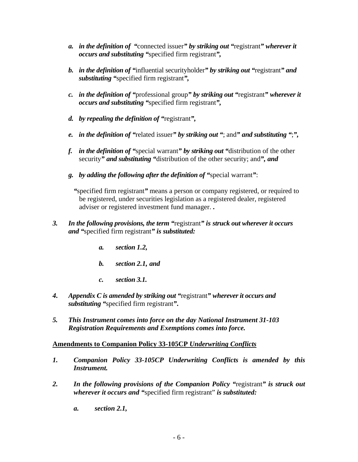- *a. in the definition of "*connected issuer*" by striking out "*registrant*" wherever it occurs and substituting "*specified firm registrant*",*
- *b. in the definition of "*influential securityholder*" by striking out "*registrant*" and substituting "*specified firm registrant*",*
- *c. in the definition of "*professional group*" by striking out "*registrant*" wherever it occurs and substituting "*specified firm registrant*",*
- *d. by repealing the definition of "*registrant*",*
- *e. in the definition of "*related issuer*" by striking out "*; and*" and substituting "*;*",*
- *f. in the definition of "*special warrant*" by striking out "*distribution of the other security*" and substituting "*distribution of the other security; and*", and*
- *g. by adding the following after the definition of "*special warrant*"*:

*"*specified firm registrant*"* means a person or company registered, or required to be registered, under securities legislation as a registered dealer, registered adviser or registered investment fund manager. **.**

- *3. In the following provisions, the term "*registrant*" is struck out wherever it occurs and "*specified firm registrant*" is substituted:* 
	- *a. section 1.2,*
	- *b. section 2.1, and*
	- *c. section 3.1.*
- *4. Appendix C is amended by striking out "*registrant*" wherever it occurs and substituting "*specified firm registrant*"***.**
- *5. This Instrument comes into force on the day National Instrument 31-103 Registration Requirements and Exemptions comes into force.*

## **Amendments to Companion Policy 33-105CP** *Underwriting Conflicts*

- *1. Companion Policy 33-105CP Underwriting Conflicts is amended by this Instrument.*
- *2. In the following provisions of the Companion Policy "*registrant*" is struck out wherever it occurs and "*specified firm registrant" *is substituted:* 
	- *a. section 2.1,*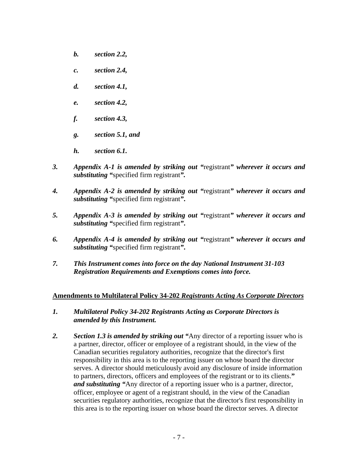- *b. section 2.2,*
- *c. section 2.4,*
- *d. section 4.1,*
- *e. section 4.2,*
- *f. section 4.3,*
- *g. section 5.1, and*
- *h. section 6.1.*
- *3. Appendix A-1 is amended by striking out "*registrant*" wherever it occurs and substituting "*specified firm registrant*".*
- *4. Appendix A-2 is amended by striking out "*registrant*" wherever it occurs and substituting "*specified firm registrant*"***.**
- *5. Appendix A-3 is amended by striking out "*registrant*" wherever it occurs and substituting "*specified firm registrant*"***.**
- *6. Appendix A-4 is amended by striking out "*registrant*" wherever it occurs and substituting "*specified firm registrant*"***.**
- *7. This Instrument comes into force on the day National Instrument 31-103 Registration Requirements and Exemptions comes into force.*

#### **Amendments to Multilateral Policy 34-202** *Registrants Acting As Corporate Directors*

- *1. Multilateral Policy 34-202 Registrants Acting as Corporate Directors is amended by this Instrument.*
- *2. Section 1.3 is amended by striking out "*Any director of a reporting issuer who is a partner, director, officer or employee of a registrant should, in the view of the Canadian securities regulatory authorities, recognize that the director's first responsibility in this area is to the reporting issuer on whose board the director serves. A director should meticulously avoid any disclosure of inside information to partners, directors, officers and employees of the registrant or to its clients.**"** *and substituting "*Any director of a reporting issuer who is a partner, director, officer, employee or agent of a registrant should, in the view of the Canadian securities regulatory authorities, recognize that the director's first responsibility in this area is to the reporting issuer on whose board the director serves. A director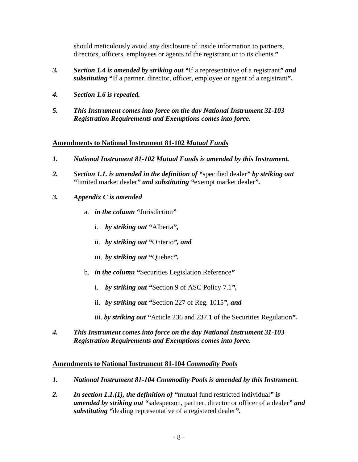should meticulously avoid any disclosure of inside information to partners, directors, officers, employees or agents of the registrant or to its clients.**"**

- *3. Section 1.4 is amended by striking out "*If a representative of a registrant*" and substituting* **"**If a partner, director, officer, employee or agent of a registrant**".**
- *4. Section 1.6 is repealed.*
- *5. This Instrument comes into force on the day National Instrument 31-103 Registration Requirements and Exemptions comes into force.*

## **Amendments to National Instrument 81-102** *Mutual Funds*

- *1. National Instrument 81-102 Mutual Funds is amended by this Instrument.*
- *2. Section 1.1. is amended in the definition of "*specified dealer*" by striking out "*limited market dealer*" and substituting "*exempt market dealer*".*
- *3. Appendix C is amended* 
	- a. *in the column "*Jurisdiction*"* 
		- i. *by striking out "*Alberta*",*
		- ii. *by striking out "*Ontario*", and*
		- iii. *by striking out "*Quebec*".*
	- b. *in the column "*Securities Legislation Reference*"* 
		- i. *by striking out "*Section 9 of ASC Policy 7.1*",*
		- ii. *by striking out "*Section 227 of Reg. 1015*", and*
		- iii. *by striking out "*Article 236 and 237.1 of the Securities Regulation*".*
- *4. This Instrument comes into force on the day National Instrument 31-103 Registration Requirements and Exemptions comes into force.*

## **Amendments to National Instrument 81-104** *Commodity Pools*

- *1. National Instrument 81-104 Commodity Pools is amended by this Instrument.*
- *2. In section 1.1.(1), the definition of "*mutual fund restricted individual*" is amended by striking out "*salesperson, partner, director or officer of a dealer*" and substituting "*dealing representative of a registered dealer*".*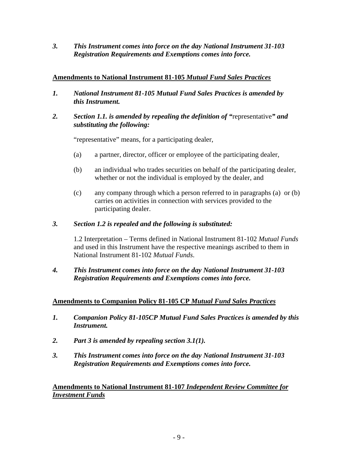*3. This Instrument comes into force on the day National Instrument 31-103 Registration Requirements and Exemptions comes into force.* 

## **Amendments to National Instrument 81-105** *Mutual Fund Sales Practices*

- *1. National Instrument 81-105 Mutual Fund Sales Practices is amended by this Instrument.*
- *2. Section 1.1. is amended by repealing the definition of "*representative*" and substituting the following:*

"representative" means, for a participating dealer,

- (a) a partner, director, officer or employee of the participating dealer,
- (b) an individual who trades securities on behalf of the participating dealer, whether or not the individual is employed by the dealer, and
- (c) any company through which a person referred to in paragraphs (a) or (b) carries on activities in connection with services provided to the participating dealer.

#### *3. Section 1.2 is repealed and the following is substituted:*

1.2 Interpretation – Terms defined in National Instrument 81-102 *Mutual Funds* and used in this Instrument have the respective meanings ascribed to them in National Instrument 81-102 *Mutual Funds*.

## *4. This Instrument comes into force on the day National Instrument 31-103 Registration Requirements and Exemptions comes into force.*

## **Amendments to Companion Policy 81-105 CP** *Mutual Fund Sales Practices*

- *1. Companion Policy 81-105CP Mutual Fund Sales Practices is amended by this Instrument.*
- *2. Part 3 is amended by repealing section 3.1(1).*
- *3. This Instrument comes into force on the day National Instrument 31-103 Registration Requirements and Exemptions comes into force.*

**Amendments to National Instrument 81-107** *Independent Review Committee for Investment Funds*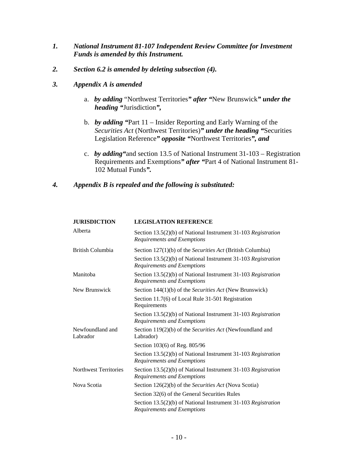- *1. National Instrument 81-107 Independent Review Committee for Investment Funds is amended by this Instrument.*
- *2. Section 6.2 is amended by deleting subsection (4).*
- *3. Appendix A is amended* 
	- a. *by adding* "Northwest Territories*" after "*New Brunswick*" under the heading "*Jurisdiction*",*
	- b. *by adding "*Part 11 Insider Reporting and Early Warning of the *Securities Act* (Northwest Territories)*" under the heading "*Securities Legislation Reference*" opposite "*Northwest Territories*", and*
	- c. *by adding"*and section 13.5 of National Instrument 31-103 Registration Requirements and Exemptions*" after "*Part 4 of National Instrument 81- 102 Mutual Funds*".*

#### *4. Appendix B is repealed and the following is substituted:*

| <b>JURISDICTION</b>          | <b>LEGISLATION REFERENCE</b>                                                                 |
|------------------------------|----------------------------------------------------------------------------------------------|
| Alberta                      | Section 13.5(2)(b) of National Instrument 31-103 Registration<br>Requirements and Exemptions |
| <b>British Columbia</b>      | Section 127(1)(b) of the <i>Securities Act</i> (British Columbia)                            |
|                              | Section 13.5(2)(b) of National Instrument 31-103 Registration<br>Requirements and Exemptions |
| Manitoba                     | Section 13.5(2)(b) of National Instrument 31-103 Registration<br>Requirements and Exemptions |
| New Brunswick                | Section 144(1)(b) of the Securities Act (New Brunswick)                                      |
|                              | Section 11.7(6) of Local Rule 31-501 Registration<br>Requirements                            |
|                              | Section 13.5(2)(b) of National Instrument 31-103 Registration<br>Requirements and Exemptions |
| Newfoundland and<br>Labrador | Section 119(2)(b) of the Securities Act (Newfoundland and<br>Labrador)                       |
|                              | Section 103(6) of Reg. 805/96                                                                |
|                              | Section 13.5(2)(b) of National Instrument 31-103 Registration<br>Requirements and Exemptions |
| <b>Northwest Territories</b> | Section 13.5(2)(b) of National Instrument 31-103 Registration<br>Requirements and Exemptions |
| Nova Scotia                  | Section 126(2)(b) of the Securities Act (Nova Scotia)                                        |
|                              | Section 32(6) of the General Securities Rules                                                |
|                              | Section 13.5(2)(b) of National Instrument 31-103 Registration<br>Requirements and Exemptions |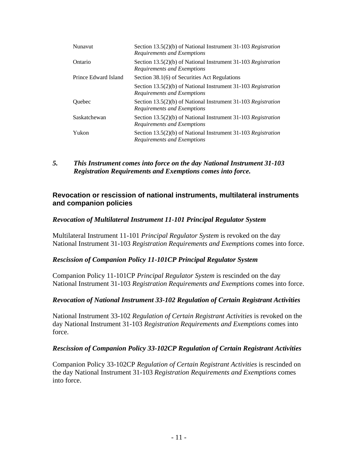| Nunavut              | Section 13.5(2)(b) of National Instrument 31-103 Registration<br>Requirements and Exemptions |
|----------------------|----------------------------------------------------------------------------------------------|
| Ontario              | Section 13.5(2)(b) of National Instrument 31-103 Registration<br>Requirements and Exemptions |
| Prince Edward Island | Section 38.1(6) of Securities Act Regulations                                                |
|                      | Section 13.5(2)(b) of National Instrument 31-103 Registration<br>Requirements and Exemptions |
| Ouebec               | Section 13.5(2)(b) of National Instrument 31-103 Registration<br>Requirements and Exemptions |
| Saskatchewan         | Section 13.5(2)(b) of National Instrument 31-103 Registration<br>Requirements and Exemptions |
| Yukon                | Section 13.5(2)(b) of National Instrument 31-103 Registration<br>Requirements and Exemptions |

*5. This Instrument comes into force on the day National Instrument 31-103 Registration Requirements and Exemptions comes into force.*

### **Revocation or rescission of national instruments, multilateral instruments and companion policies**

#### *Revocation of Multilateral Instrument 11-101 Principal Regulator System*

Multilateral Instrument 11-101 *Principal Regulator System* is revoked on the day National Instrument 31-103 *Registration Requirements and Exemptions* comes into force.

#### *Rescission of Companion Policy 11-101CP Principal Regulator System*

Companion Policy 11-101CP *Principal Regulator System* is rescinded on the day National Instrument 31-103 *Registration Requirements and Exemptions* comes into force.

#### *Revocation of National Instrument 33-102 Regulation of Certain Registrant Activities*

National Instrument 33-102 *Regulation of Certain Registrant Activities* is revoked on the day National Instrument 31-103 *Registration Requirements and Exemptions* comes into force.

#### *Rescission of Companion Policy 33-102CP Regulation of Certain Registrant Activities*

Companion Policy 33-102CP *Regulation of Certain Registrant Activities* is rescinded on the day National Instrument 31-103 *Registration Requirements and Exemptions* comes into force.